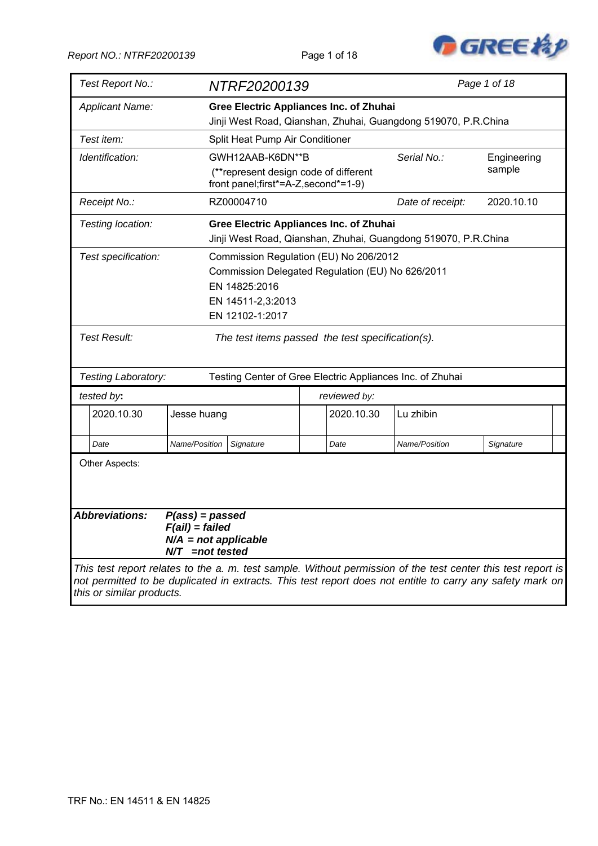

| Test Report No.:                                                                                                                                                                                                                                       |                                                                                      | NTRF20200139                                                                  |  |              |                                                                | Page 1 of 18 |
|--------------------------------------------------------------------------------------------------------------------------------------------------------------------------------------------------------------------------------------------------------|--------------------------------------------------------------------------------------|-------------------------------------------------------------------------------|--|--------------|----------------------------------------------------------------|--------------|
| <b>Applicant Name:</b>                                                                                                                                                                                                                                 |                                                                                      | <b>Gree Electric Appliances Inc. of Zhuhai</b>                                |  |              |                                                                |              |
|                                                                                                                                                                                                                                                        |                                                                                      |                                                                               |  |              | Jinji West Road, Qianshan, Zhuhai, Guangdong 519070, P.R.China |              |
| Test item:                                                                                                                                                                                                                                             |                                                                                      | Split Heat Pump Air Conditioner                                               |  |              |                                                                |              |
| Identification:                                                                                                                                                                                                                                        |                                                                                      | GWH12AAB-K6DN**B<br>Serial No.:<br>Engineering                                |  |              |                                                                |              |
|                                                                                                                                                                                                                                                        |                                                                                      | (**represent design code of different<br>front panel;first*=A-Z, second*=1-9) |  |              |                                                                | sample       |
| Receipt No.:                                                                                                                                                                                                                                           |                                                                                      | RZ00004710                                                                    |  |              | Date of receipt:                                               | 2020.10.10   |
| Testing location:                                                                                                                                                                                                                                      |                                                                                      | <b>Gree Electric Appliances Inc. of Zhuhai</b>                                |  |              | Jinji West Road, Qianshan, Zhuhai, Guangdong 519070, P.R.China |              |
| Test specification:                                                                                                                                                                                                                                    |                                                                                      | Commission Regulation (EU) No 206/2012                                        |  |              |                                                                |              |
|                                                                                                                                                                                                                                                        |                                                                                      | Commission Delegated Regulation (EU) No 626/2011                              |  |              |                                                                |              |
|                                                                                                                                                                                                                                                        |                                                                                      | EN 14825:2016                                                                 |  |              |                                                                |              |
|                                                                                                                                                                                                                                                        |                                                                                      | EN 14511-2,3:2013                                                             |  |              |                                                                |              |
|                                                                                                                                                                                                                                                        |                                                                                      | EN 12102-1:2017                                                               |  |              |                                                                |              |
| Test Result:                                                                                                                                                                                                                                           |                                                                                      | The test items passed the test specification(s).                              |  |              |                                                                |              |
|                                                                                                                                                                                                                                                        |                                                                                      |                                                                               |  |              |                                                                |              |
| Testing Laboratory:                                                                                                                                                                                                                                    |                                                                                      | Testing Center of Gree Electric Appliances Inc. of Zhuhai                     |  |              |                                                                |              |
| tested by:                                                                                                                                                                                                                                             |                                                                                      |                                                                               |  | reviewed by: |                                                                |              |
| 2020.10.30                                                                                                                                                                                                                                             | Jesse huang                                                                          |                                                                               |  | 2020.10.30   | Lu zhibin                                                      |              |
| Date                                                                                                                                                                                                                                                   | Name/Position                                                                        | Signature                                                                     |  | Date         | Name/Position                                                  | Signature    |
| Other Aspects:                                                                                                                                                                                                                                         |                                                                                      |                                                                               |  |              |                                                                |              |
| <b>Abbreviations:</b>                                                                                                                                                                                                                                  | $P(ass) = passed$<br>$F(ai)$ = failed<br>$N/A$ = not applicable<br>$N/T$ =not tested |                                                                               |  |              |                                                                |              |
| This test report relates to the a. m. test sample. Without permission of the test center this test report is<br>not permitted to be duplicated in extracts. This test report does not entitle to carry any safety mark on<br>this or similar products. |                                                                                      |                                                                               |  |              |                                                                |              |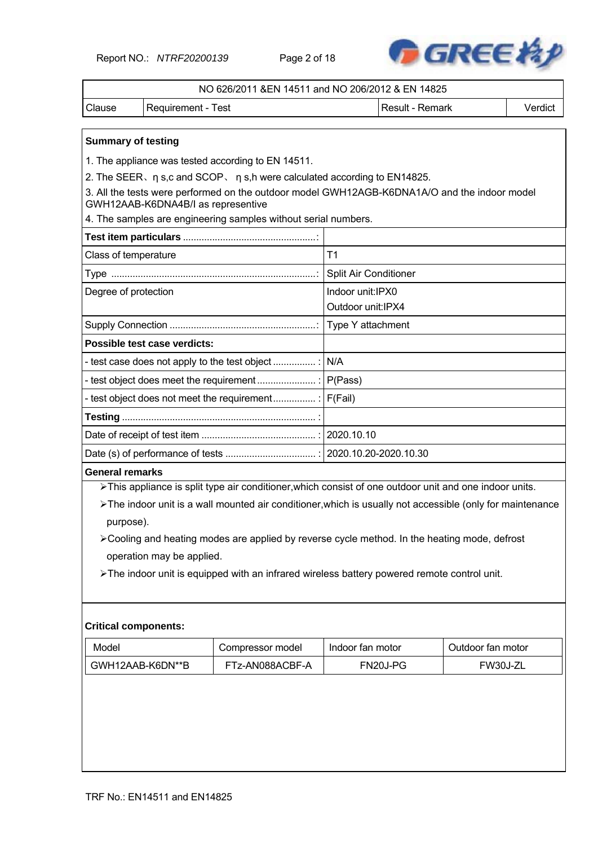Report NO.: *NTRF20200139* Page 2 of 18



|                             |                                                                                                                                    | NO 626/2011 & EN 14511 and NO 206/2012 & EN 14825 |         |
|-----------------------------|------------------------------------------------------------------------------------------------------------------------------------|---------------------------------------------------|---------|
| Clause                      | <b>Requirement - Test</b>                                                                                                          | Result - Remark                                   | Verdict |
| <b>Summary of testing</b>   |                                                                                                                                    |                                                   |         |
|                             | 1. The appliance was tested according to EN 14511.                                                                                 |                                                   |         |
|                             | 2. The SEER, n s,c and SCOP, n s,h were calculated according to EN14825.                                                           |                                                   |         |
|                             | 3. All the tests were performed on the outdoor model GWH12AGB-K6DNA1A/O and the indoor model<br>GWH12AAB-K6DNA4B/I as representive |                                                   |         |
|                             | 4. The samples are engineering samples without serial numbers.                                                                     |                                                   |         |
|                             |                                                                                                                                    |                                                   |         |
| Class of temperature        |                                                                                                                                    | T1                                                |         |
|                             |                                                                                                                                    | Split Air Conditioner                             |         |
| Degree of protection        |                                                                                                                                    | Indoor unit:IPX0                                  |         |
|                             |                                                                                                                                    | Outdoor unit: IPX4                                |         |
|                             |                                                                                                                                    | Type Y attachment                                 |         |
|                             | Possible test case verdicts:                                                                                                       |                                                   |         |
|                             | - test case does not apply to the test object                                                                                      |                                                   |         |
|                             |                                                                                                                                    |                                                   |         |
|                             |                                                                                                                                    |                                                   |         |
|                             |                                                                                                                                    |                                                   |         |
|                             |                                                                                                                                    |                                                   |         |
|                             |                                                                                                                                    |                                                   |         |
| <b>General remarks</b>      |                                                                                                                                    |                                                   |         |
|                             | >This appliance is split type air conditioner, which consist of one outdoor unit and one indoor units.                             |                                                   |         |
|                             | The indoor unit is a wall mounted air conditioner, which is usually not accessible (only for maintenance                           |                                                   |         |
| purpose).                   |                                                                                                                                    |                                                   |         |
|                             | ≻Cooling and heating modes are applied by reverse cycle method. In the heating mode, defrost                                       |                                                   |         |
|                             | operation may be applied.                                                                                                          |                                                   |         |
|                             | > The indoor unit is equipped with an infrared wireless battery powered remote control unit.                                       |                                                   |         |
|                             |                                                                                                                                    |                                                   |         |
|                             |                                                                                                                                    |                                                   |         |
| <b>Critical components:</b> |                                                                                                                                    |                                                   |         |

| Model            | Compressor model | Indoor fan motor | Outdoor fan motor |
|------------------|------------------|------------------|-------------------|
| GWH12AAB-K6DN**B | FTz-AN088ACBF-A  | FN20J-PG         | FW30J-ZL          |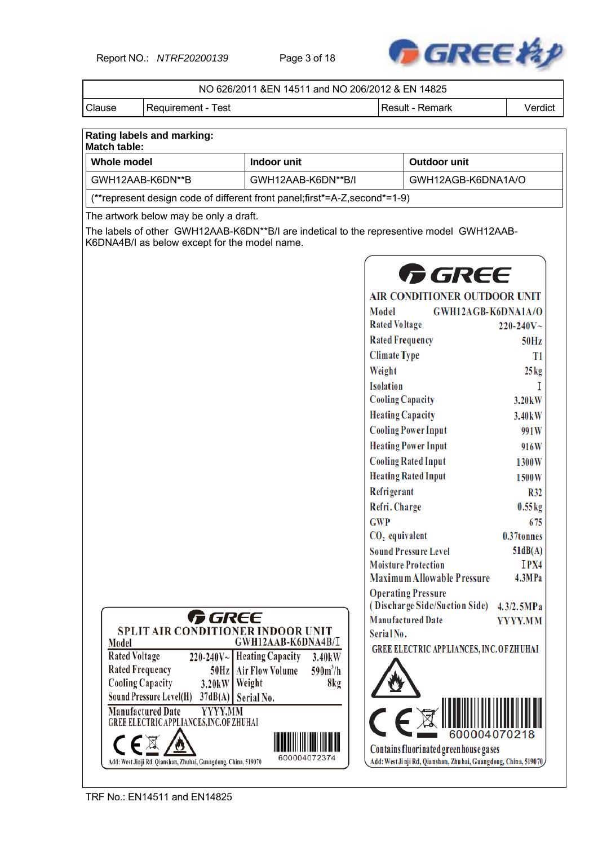Report NO.: *NTRF20200139* Page 3 of 18



|                         |                                                                           | NO 626/2011 &EN 14511 and NO 206/2012 & EN 14825                                         |                                          |                                                                                                          |                     |
|-------------------------|---------------------------------------------------------------------------|------------------------------------------------------------------------------------------|------------------------------------------|----------------------------------------------------------------------------------------------------------|---------------------|
| Clause                  | <b>Requirement - Test</b>                                                 |                                                                                          |                                          | Result - Remark                                                                                          | Verdict             |
|                         |                                                                           |                                                                                          |                                          |                                                                                                          |                     |
| <b>Match table:</b>     | Rating labels and marking:                                                |                                                                                          |                                          |                                                                                                          |                     |
| <b>Whole model</b>      |                                                                           | Indoor unit                                                                              |                                          | Outdoor unit                                                                                             |                     |
|                         | GWH12AAB-K6DN**B                                                          | GWH12AAB-K6DN**B/I                                                                       |                                          | GWH12AGB-K6DNA1A/O                                                                                       |                     |
|                         |                                                                           | (**represent design code of different front panel;first*=A-Z, second*=1-9)               |                                          |                                                                                                          |                     |
|                         | The artwork below may be only a draft.                                    |                                                                                          |                                          |                                                                                                          |                     |
|                         |                                                                           | The labels of other GWH12AAB-K6DN**B/I are indetical to the representive model GWH12AAB- |                                          |                                                                                                          |                     |
|                         | K6DNA4B/I as below except for the model name.                             |                                                                                          |                                          |                                                                                                          |                     |
|                         |                                                                           |                                                                                          |                                          |                                                                                                          |                     |
|                         |                                                                           |                                                                                          |                                          | <b>GREE</b>                                                                                              |                     |
|                         |                                                                           |                                                                                          |                                          | <b>AIR CONDITIONER OUTDOOR UNIT</b>                                                                      |                     |
|                         |                                                                           |                                                                                          | Model                                    | GWH12AGB-K6DNA1A/O                                                                                       |                     |
|                         |                                                                           |                                                                                          | <b>Rated Voltage</b>                     |                                                                                                          | $220 - 240V$ ~      |
|                         |                                                                           |                                                                                          | <b>Rated Frequency</b>                   |                                                                                                          | 50Hz                |
|                         |                                                                           |                                                                                          | <b>Climate Type</b>                      |                                                                                                          | T <sub>1</sub>      |
|                         |                                                                           |                                                                                          | Weight                                   |                                                                                                          | $25\text{kg}$       |
|                         |                                                                           |                                                                                          | <b>Isolation</b>                         |                                                                                                          |                     |
|                         |                                                                           |                                                                                          | <b>Cooling Capacity</b>                  |                                                                                                          | 3.20 <sub>k</sub> W |
|                         |                                                                           |                                                                                          | <b>Heating Capacity</b>                  |                                                                                                          | 3.40 <sub>k</sub> W |
|                         |                                                                           |                                                                                          |                                          | <b>Cooling Power Input</b>                                                                               | 991W                |
|                         |                                                                           |                                                                                          |                                          | <b>Heating Power Input</b>                                                                               | 916W                |
|                         |                                                                           |                                                                                          |                                          | <b>Cooling Rated Input</b>                                                                               | 1300W               |
|                         |                                                                           |                                                                                          |                                          | <b>Heating Rated Input</b>                                                                               | 1500W               |
|                         |                                                                           |                                                                                          | Refrigerant                              |                                                                                                          | <b>R32</b>          |
|                         |                                                                           |                                                                                          | Refri. Charge                            |                                                                                                          | $0.55$ kg           |
|                         |                                                                           |                                                                                          | <b>GWP</b><br>CO <sub>2</sub> equivalent |                                                                                                          | 675<br>0.37tonnes   |
|                         |                                                                           |                                                                                          |                                          | <b>Sound Pressure Level</b>                                                                              | 51dB(A)             |
|                         |                                                                           |                                                                                          |                                          | <b>Moisture Protection</b>                                                                               | IPX4                |
|                         |                                                                           |                                                                                          |                                          | <b>Maximum Allowable Pressure</b>                                                                        | 4.3MPa              |
|                         |                                                                           |                                                                                          |                                          | <b>Operating Pressure</b>                                                                                |                     |
|                         |                                                                           |                                                                                          |                                          | (Discharge Side/Suction Side)                                                                            | 4.3/2.5MPa          |
|                         | <b>GREE</b><br><b>SPLIT AIR CONDITIONER INDOOR UNIT</b>                   |                                                                                          |                                          | <b>Manufactured Date</b>                                                                                 | YYYY.MM             |
| Model                   |                                                                           | GWH12AAB-K6DNA4B/I                                                                       | Serial No.                               |                                                                                                          |                     |
| <b>Rated Voltage</b>    |                                                                           | $220-240V~$ Heating Capacity<br>3.40kW                                                   |                                          | <b>GREE ELECTRIC APPLIANCES, INC. OF ZHUHAI</b>                                                          |                     |
| <b>Rated Frequency</b>  | 50Hz                                                                      | $590m^3/h$<br><b>Air Flow Volume</b>                                                     |                                          |                                                                                                          |                     |
| <b>Cooling Capacity</b> | 3.20kW                                                                    | Weight<br>8kg                                                                            |                                          |                                                                                                          |                     |
|                         | Sound Pressure Level(H)<br>37dB(A)<br><b>Manufactured Date</b><br>YYYY.MM | Serial No.                                                                               |                                          |                                                                                                          |                     |
|                         | GREE ELECTRIC APPLIANCES, INC. OF ZHUHAI                                  |                                                                                          |                                          |                                                                                                          |                     |
|                         |                                                                           |                                                                                          |                                          | 600004070218                                                                                             |                     |
|                         | Add: West Jinji Rd, Qianshan, Zhuhai, Guangdong, China, 519070            | 600004072374                                                                             |                                          | Contains fluorinated greenhouse gases<br>Add: West Jinji Rd, Qianshan, Zhuhai, Guangdong, China, 519070, |                     |

TRF No.: EN14511 and EN14825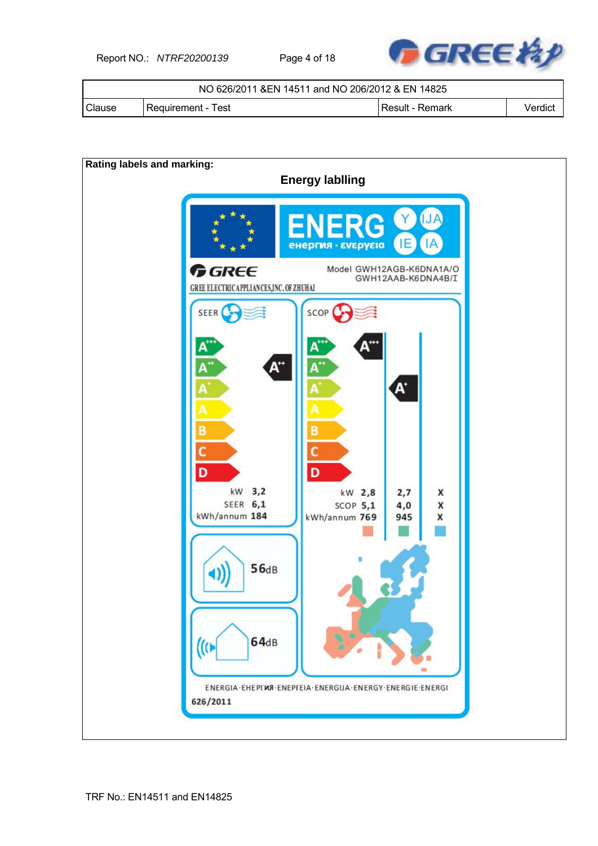Report NO.: *NTRF20200139* Page 4 of 18



|               | NO 626/2011 & EN 14511 and NO 206/2012 & EN 14825 |                   |         |  |  |  |
|---------------|---------------------------------------------------|-------------------|---------|--|--|--|
| <b>Clause</b> | Requirement - Test                                | l Result - Remark | Verdict |  |  |  |

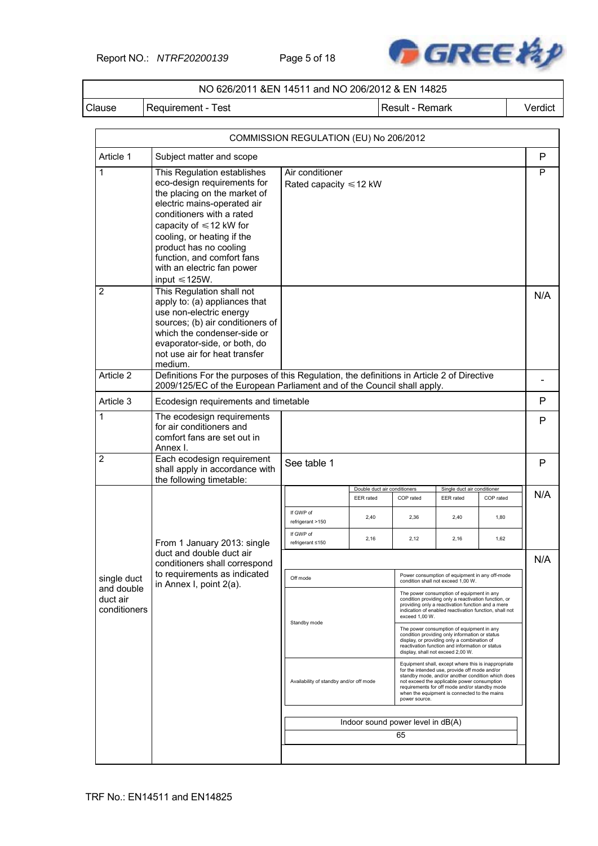Report NO.: *NTRF20200139* Page 5 of 18



### NO 626/2011 &EN 14511 and NO 206/2012 & EN 14825

Clause | Requirement - Test | Next | Result - Remark | Verdict

|                                        |                                                                                                                                                                                                                                                                                                                                   | COMMISSION REGULATION (EU) No 206/2012         |                                                  |                                                                                                                                                                                                                                    |                                                                                                                                                                                                                                                                                                           |           |     |
|----------------------------------------|-----------------------------------------------------------------------------------------------------------------------------------------------------------------------------------------------------------------------------------------------------------------------------------------------------------------------------------|------------------------------------------------|--------------------------------------------------|------------------------------------------------------------------------------------------------------------------------------------------------------------------------------------------------------------------------------------|-----------------------------------------------------------------------------------------------------------------------------------------------------------------------------------------------------------------------------------------------------------------------------------------------------------|-----------|-----|
| Article 1                              | Subject matter and scope                                                                                                                                                                                                                                                                                                          |                                                |                                                  |                                                                                                                                                                                                                                    |                                                                                                                                                                                                                                                                                                           |           | P   |
| 1                                      | This Regulation establishes<br>eco-design requirements for<br>the placing on the market of<br>electric mains-operated air<br>conditioners with a rated<br>capacity of $\leq 12$ kW for<br>cooling, or heating if the<br>product has no cooling<br>function, and comfort fans<br>with an electric fan power<br>input $\leq 125W$ . | Air conditioner<br>Rated capacity $\leq 12$ kW |                                                  |                                                                                                                                                                                                                                    |                                                                                                                                                                                                                                                                                                           |           | P   |
| $\overline{2}$                         | This Regulation shall not<br>apply to: (a) appliances that<br>use non-electric energy<br>sources; (b) air conditioners of<br>which the condenser-side or<br>evaporator-side, or both, do<br>not use air for heat transfer<br>medium.                                                                                              |                                                |                                                  |                                                                                                                                                                                                                                    |                                                                                                                                                                                                                                                                                                           |           | N/A |
| Article 2                              | Definitions For the purposes of this Regulation, the definitions in Article 2 of Directive<br>2009/125/EC of the European Parliament and of the Council shall apply.                                                                                                                                                              |                                                |                                                  |                                                                                                                                                                                                                                    |                                                                                                                                                                                                                                                                                                           |           |     |
| Article 3                              | Ecodesign requirements and timetable                                                                                                                                                                                                                                                                                              |                                                |                                                  |                                                                                                                                                                                                                                    |                                                                                                                                                                                                                                                                                                           |           | P   |
| 1                                      | The ecodesign requirements<br>for air conditioners and<br>comfort fans are set out in<br>Annex I.                                                                                                                                                                                                                                 |                                                |                                                  |                                                                                                                                                                                                                                    |                                                                                                                                                                                                                                                                                                           |           | P   |
| $\overline{2}$                         | Each ecodesign requirement<br>shall apply in accordance with<br>the following timetable:                                                                                                                                                                                                                                          | See table 1                                    |                                                  |                                                                                                                                                                                                                                    |                                                                                                                                                                                                                                                                                                           |           | P   |
|                                        |                                                                                                                                                                                                                                                                                                                                   |                                                | Double duct air conditioners<br><b>EER</b> rated | COP rated                                                                                                                                                                                                                          | Single duct air conditioner<br><b>EER</b> rated                                                                                                                                                                                                                                                           | COP rated | N/A |
|                                        |                                                                                                                                                                                                                                                                                                                                   | If GWP of<br>refrigerant >150                  | 2,40                                             | 2,36                                                                                                                                                                                                                               | 2,40                                                                                                                                                                                                                                                                                                      | 1,80      |     |
|                                        | From 1 January 2013: single                                                                                                                                                                                                                                                                                                       | If GWP of<br>refrigerant ≤150                  | 2,16                                             | 2,12                                                                                                                                                                                                                               | 2,16                                                                                                                                                                                                                                                                                                      | 1,62      |     |
|                                        | duct and double duct air<br>conditioners shall correspond                                                                                                                                                                                                                                                                         |                                                |                                                  |                                                                                                                                                                                                                                    |                                                                                                                                                                                                                                                                                                           |           | N/A |
| single duct                            | to requirements as indicated<br>in Annex I, point 2(a).                                                                                                                                                                                                                                                                           | Off mode                                       |                                                  |                                                                                                                                                                                                                                    | Power consumption of equipment in any off-mode<br>condition shall not exceed 1,00 W.                                                                                                                                                                                                                      |           |     |
| and double<br>duct air<br>conditioners |                                                                                                                                                                                                                                                                                                                                   |                                                |                                                  | The power consumption of equipment in any<br>condition providing only a reactivation function, or<br>providing only a reactivation function and a mere<br>indication of enabled reactivation function, shall not<br>exceed 1,00 W. |                                                                                                                                                                                                                                                                                                           |           |     |
|                                        |                                                                                                                                                                                                                                                                                                                                   | Standby mode                                   |                                                  |                                                                                                                                                                                                                                    | The power consumption of equipment in any<br>condition providing only information or status<br>display, or providing only a combination of<br>reactivation function and information or status<br>display, shall not exceed 2,00 W.                                                                        |           |     |
|                                        |                                                                                                                                                                                                                                                                                                                                   | Availability of standby and/or off mode        |                                                  | power source.                                                                                                                                                                                                                      | Equipment shall, except where this is inappropriate<br>for the intended use, provide off mode and/or<br>standby mode, and/or another condition which does<br>not exceed the applicable power consumption<br>requirements for off mode and/or standby mode<br>when the equipment is connected to the mains |           |     |
|                                        |                                                                                                                                                                                                                                                                                                                                   |                                                | Indoor sound power level in dB(A)                |                                                                                                                                                                                                                                    |                                                                                                                                                                                                                                                                                                           |           |     |
|                                        |                                                                                                                                                                                                                                                                                                                                   |                                                |                                                  | 65                                                                                                                                                                                                                                 |                                                                                                                                                                                                                                                                                                           |           |     |
|                                        |                                                                                                                                                                                                                                                                                                                                   |                                                |                                                  |                                                                                                                                                                                                                                    |                                                                                                                                                                                                                                                                                                           |           |     |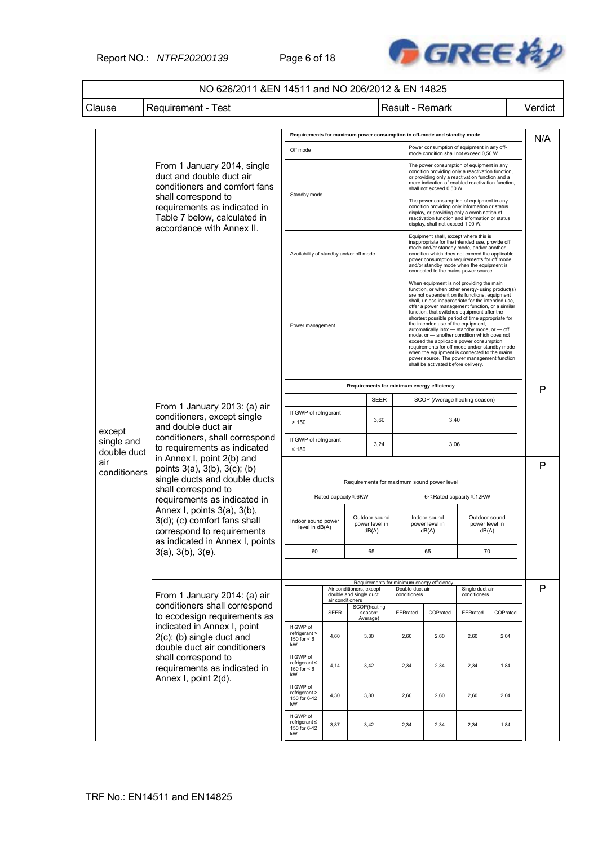Report NO.: *NTRF20200139* Page 6 of 18



## NO 626/2011 &EN 14511 and NO 206/2012 & EN 14825

Clause | Requirement - Test | Next | Result - Remark | Verdict

|                           |                                                                                                                                    | Requirements for maximum power consumption in off-mode and standby mode                                              |                                         |                                            |                                          |          |                                                                                                                                                                                                                                                                                                                                                                                                                                                                                                                                                                                                                                                                                                                                 | N/A                                      |          |   |
|---------------------------|------------------------------------------------------------------------------------------------------------------------------------|----------------------------------------------------------------------------------------------------------------------|-----------------------------------------|--------------------------------------------|------------------------------------------|----------|---------------------------------------------------------------------------------------------------------------------------------------------------------------------------------------------------------------------------------------------------------------------------------------------------------------------------------------------------------------------------------------------------------------------------------------------------------------------------------------------------------------------------------------------------------------------------------------------------------------------------------------------------------------------------------------------------------------------------------|------------------------------------------|----------|---|
|                           |                                                                                                                                    | Off mode                                                                                                             |                                         |                                            |                                          |          | Power consumption of equipment in any off-<br>mode condition shall not exceed 0,50 W.                                                                                                                                                                                                                                                                                                                                                                                                                                                                                                                                                                                                                                           |                                          |          |   |
|                           | From 1 January 2014, single<br>duct and double duct air<br>conditioners and comfort fans                                           | Standby mode                                                                                                         |                                         |                                            |                                          |          | The power consumption of equipment in any<br>condition providing only a reactivation function,<br>or providing only a reactivation function and a<br>mere indication of enabled reactivation function,<br>shall not exceed 0,50 W.                                                                                                                                                                                                                                                                                                                                                                                                                                                                                              |                                          |          |   |
|                           | shall correspond to<br>requirements as indicated in<br>Table 7 below, calculated in<br>accordance with Annex II.                   |                                                                                                                      |                                         |                                            |                                          |          | The power consumption of equipment in any<br>condition providing only information or status<br>display, or providing only a combination of<br>reactivation function and information or status<br>display, shall not exceed 1,00 W.                                                                                                                                                                                                                                                                                                                                                                                                                                                                                              |                                          |          |   |
|                           |                                                                                                                                    |                                                                                                                      | Availability of standby and/or off mode |                                            |                                          |          | Equipment shall, except where this is<br>inappropriate for the intended use, provide off<br>mode and/or standby mode, and/or another<br>condition which does not exceed the applicable<br>power consumption requirements for off mode<br>and/or standby mode when the equipment is<br>connected to the mains power source.                                                                                                                                                                                                                                                                                                                                                                                                      |                                          |          |   |
|                           |                                                                                                                                    |                                                                                                                      | Power management                        |                                            |                                          |          | When equipment is not providing the main<br>function, or when other energy- using product(s)<br>are not dependent on its functions, equipment<br>shall, unless inappropriate for the intended use,<br>offer a power management function, or a similar<br>function, that switches equipment after the<br>shortest possible period of time appropriate for<br>the intended use of the equipment,<br>automatically into: - standby mode, or - off<br>mode, or - another condition which does not<br>exceed the applicable power consumption<br>requirements for off mode and/or standby mode<br>when the equipment is connected to the mains<br>power source. The power management function<br>shall be activated before delivery. |                                          |          |   |
|                           |                                                                                                                                    |                                                                                                                      |                                         | Requirements for minimum energy efficiency |                                          |          |                                                                                                                                                                                                                                                                                                                                                                                                                                                                                                                                                                                                                                                                                                                                 |                                          |          |   |
|                           | From 1 January 2013: (a) air                                                                                                       | <b>SEER</b><br>If GWP of refrigerant                                                                                 |                                         |                                            | SCOP (Average heating season)            |          |                                                                                                                                                                                                                                                                                                                                                                                                                                                                                                                                                                                                                                                                                                                                 |                                          |          |   |
|                           | conditioners, except single<br>and double duct air<br>except<br>conditioners, shall correspond<br>to requirements as indicated     | 3,60<br>> 150                                                                                                        |                                         |                                            |                                          | 3,40     |                                                                                                                                                                                                                                                                                                                                                                                                                                                                                                                                                                                                                                                                                                                                 |                                          |          |   |
| single and<br>double duct |                                                                                                                                    | If GWP of refrigerant<br>3,24<br>$\leq 150$                                                                          |                                         |                                            |                                          | 3,06     |                                                                                                                                                                                                                                                                                                                                                                                                                                                                                                                                                                                                                                                                                                                                 |                                          |          |   |
| air<br>conditioners       | in Annex I, point 2(b) and<br>points 3(a), 3(b), 3(c); (b)<br>single ducts and double ducts                                        |                                                                                                                      |                                         |                                            |                                          |          | Requirements for maximum sound power level                                                                                                                                                                                                                                                                                                                                                                                                                                                                                                                                                                                                                                                                                      |                                          |          | P |
|                           | shall correspond to<br>requirements as indicated in                                                                                |                                                                                                                      | Rated capacity <6KW                     |                                            |                                          |          | 6 <rated capacity≤12kw<="" td=""><td></td><td></td></rated>                                                                                                                                                                                                                                                                                                                                                                                                                                                                                                                                                                                                                                                                     |                                          |          |   |
|                           | Annex I, points $3(a)$ , $3(b)$ ,<br>3(d); (c) comfort fans shall<br>correspond to requirements<br>as indicated in Annex I, points | Indoor sound power<br>level in dB(A)                                                                                 |                                         |                                            | Outdoor sound<br>power level in<br>dB(A) |          | Indoor sound<br>power level in<br>dB(A)                                                                                                                                                                                                                                                                                                                                                                                                                                                                                                                                                                                                                                                                                         | Outdoor sound<br>power level in<br>dB(A) |          |   |
|                           | 3(a), 3(b), 3(e).                                                                                                                  | 60                                                                                                                   |                                         |                                            | 65                                       |          | 65                                                                                                                                                                                                                                                                                                                                                                                                                                                                                                                                                                                                                                                                                                                              | 70                                       |          |   |
|                           |                                                                                                                                    |                                                                                                                      |                                         |                                            |                                          |          |                                                                                                                                                                                                                                                                                                                                                                                                                                                                                                                                                                                                                                                                                                                                 |                                          |          |   |
|                           | From 1 January 2014: (a) air                                                                                                       | Requirements for minimum energy efficiency<br>Air conditioners, except<br>double and single duct<br>air conditioners |                                         |                                            | Double duct air<br>conditioners          |          | Single duct air<br>conditioners                                                                                                                                                                                                                                                                                                                                                                                                                                                                                                                                                                                                                                                                                                 |                                          | Р        |   |
|                           | conditioners shall correspond<br>to ecodesign requirements as                                                                      |                                                                                                                      | <b>SEER</b>                             |                                            | SCOP(heating<br>season:<br>Average)      | EERrated | COPrated                                                                                                                                                                                                                                                                                                                                                                                                                                                                                                                                                                                                                                                                                                                        | EERrated                                 | COPrated |   |
|                           | indicated in Annex I, point<br>$2(c)$ ; (b) single duct and<br>double duct air conditioners                                        | If GWP of<br>refrigerant ><br>150 for $< 6$<br>kW                                                                    | 4,60                                    |                                            | 3,80                                     | 2,60     | 2,60                                                                                                                                                                                                                                                                                                                                                                                                                                                                                                                                                                                                                                                                                                                            | 2,60                                     | 2,04     |   |
|                           | shall correspond to<br>requirements as indicated in<br>Annex I, point 2(d).                                                        | If GWP of<br>refrigerant ≤<br>150 for $< 6$<br>kW                                                                    | 4,14                                    |                                            | 3,42                                     | 2,34     | 2,34                                                                                                                                                                                                                                                                                                                                                                                                                                                                                                                                                                                                                                                                                                                            | 2,34                                     | 1,84     |   |
|                           |                                                                                                                                    | If GWP of<br>refrigerant ><br>150 for 6-12<br>kW                                                                     | 4,30                                    |                                            | 3,80                                     | 2,60     | 2,60                                                                                                                                                                                                                                                                                                                                                                                                                                                                                                                                                                                                                                                                                                                            | 2,60                                     | 2,04     |   |
|                           |                                                                                                                                    | If GWP of<br>refrigerant ≤<br>150 for 6-12<br>kW                                                                     | 3,87                                    |                                            | 3,42                                     | 2,34     | 2,34                                                                                                                                                                                                                                                                                                                                                                                                                                                                                                                                                                                                                                                                                                                            | 2,34                                     | 1,84     |   |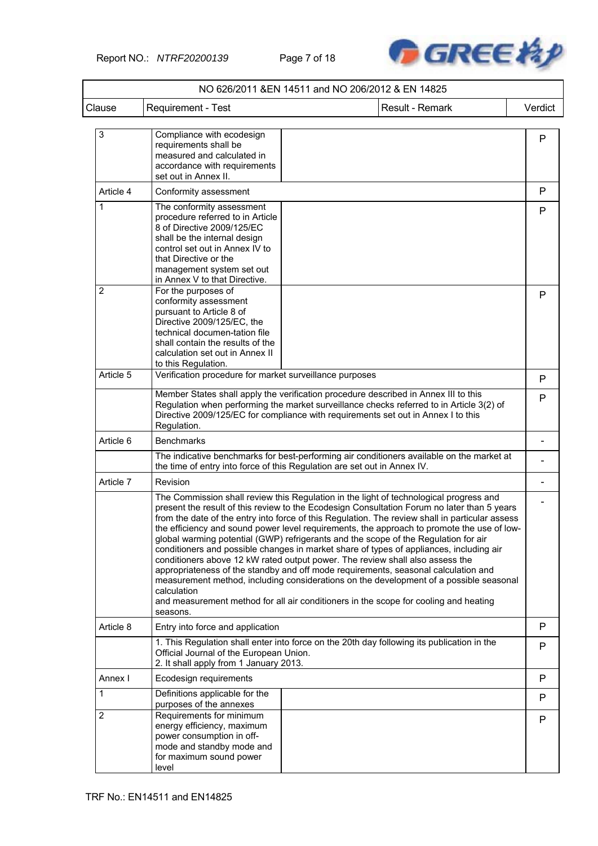

|                |                                                                                                                                                                                                                                                      | NO 626/2011 &EN 14511 and NO 206/2012 & EN 14825                                                                                                                                                                                                                                                                                                                                                                                                                                                                                                                                                                                                                                                                                                                                                                                                                                                                                  |         |
|----------------|------------------------------------------------------------------------------------------------------------------------------------------------------------------------------------------------------------------------------------------------------|-----------------------------------------------------------------------------------------------------------------------------------------------------------------------------------------------------------------------------------------------------------------------------------------------------------------------------------------------------------------------------------------------------------------------------------------------------------------------------------------------------------------------------------------------------------------------------------------------------------------------------------------------------------------------------------------------------------------------------------------------------------------------------------------------------------------------------------------------------------------------------------------------------------------------------------|---------|
| Clause         | Requirement - Test                                                                                                                                                                                                                                   | Result - Remark                                                                                                                                                                                                                                                                                                                                                                                                                                                                                                                                                                                                                                                                                                                                                                                                                                                                                                                   | Verdict |
| 3              | Compliance with ecodesign<br>requirements shall be<br>measured and calculated in<br>accordance with requirements<br>set out in Annex II.                                                                                                             |                                                                                                                                                                                                                                                                                                                                                                                                                                                                                                                                                                                                                                                                                                                                                                                                                                                                                                                                   | P       |
| Article 4      | Conformity assessment                                                                                                                                                                                                                                |                                                                                                                                                                                                                                                                                                                                                                                                                                                                                                                                                                                                                                                                                                                                                                                                                                                                                                                                   | P       |
| 1              | The conformity assessment<br>procedure referred to in Article<br>8 of Directive 2009/125/EC<br>shall be the internal design<br>control set out in Annex IV to<br>that Directive or the<br>management system set out<br>in Annex V to that Directive. |                                                                                                                                                                                                                                                                                                                                                                                                                                                                                                                                                                                                                                                                                                                                                                                                                                                                                                                                   | P       |
| $\overline{2}$ | For the purposes of<br>conformity assessment<br>pursuant to Article 8 of<br>Directive 2009/125/EC, the<br>technical documen-tation file<br>shall contain the results of the<br>calculation set out in Annex II<br>to this Regulation.                |                                                                                                                                                                                                                                                                                                                                                                                                                                                                                                                                                                                                                                                                                                                                                                                                                                                                                                                                   | P       |
| Article 5      | Verification procedure for market surveillance purposes                                                                                                                                                                                              |                                                                                                                                                                                                                                                                                                                                                                                                                                                                                                                                                                                                                                                                                                                                                                                                                                                                                                                                   | P       |
|                | Regulation.                                                                                                                                                                                                                                          | Member States shall apply the verification procedure described in Annex III to this<br>Regulation when performing the market surveillance checks referred to in Article 3(2) of<br>Directive 2009/125/EC for compliance with requirements set out in Annex I to this                                                                                                                                                                                                                                                                                                                                                                                                                                                                                                                                                                                                                                                              | P       |
| Article 6      | <b>Benchmarks</b>                                                                                                                                                                                                                                    |                                                                                                                                                                                                                                                                                                                                                                                                                                                                                                                                                                                                                                                                                                                                                                                                                                                                                                                                   |         |
|                |                                                                                                                                                                                                                                                      | The indicative benchmarks for best-performing air conditioners available on the market at<br>the time of entry into force of this Regulation are set out in Annex IV.                                                                                                                                                                                                                                                                                                                                                                                                                                                                                                                                                                                                                                                                                                                                                             |         |
| Article 7      | Revision                                                                                                                                                                                                                                             |                                                                                                                                                                                                                                                                                                                                                                                                                                                                                                                                                                                                                                                                                                                                                                                                                                                                                                                                   |         |
|                | calculation<br>seasons.                                                                                                                                                                                                                              | The Commission shall review this Regulation in the light of technological progress and<br>present the result of this review to the Ecodesign Consultation Forum no later than 5 years<br>from the date of the entry into force of this Regulation. The review shall in particular assess<br>the efficiency and sound power level requirements, the approach to promote the use of low-<br>global warming potential (GWP) refrigerants and the scope of the Regulation for air<br>conditioners and possible changes in market share of types of appliances, including air<br>conditioners above 12 kW rated output power. The review shall also assess the<br>appropriateness of the standby and off mode requirements, seasonal calculation and<br>measurement method, including considerations on the development of a possible seasonal<br>and measurement method for all air conditioners in the scope for cooling and heating |         |
| Article 8      | Entry into force and application                                                                                                                                                                                                                     |                                                                                                                                                                                                                                                                                                                                                                                                                                                                                                                                                                                                                                                                                                                                                                                                                                                                                                                                   | P       |
|                | Official Journal of the European Union.<br>2. It shall apply from 1 January 2013.                                                                                                                                                                    | 1. This Regulation shall enter into force on the 20th day following its publication in the                                                                                                                                                                                                                                                                                                                                                                                                                                                                                                                                                                                                                                                                                                                                                                                                                                        | P       |
| Annex I        | Ecodesign requirements                                                                                                                                                                                                                               |                                                                                                                                                                                                                                                                                                                                                                                                                                                                                                                                                                                                                                                                                                                                                                                                                                                                                                                                   | P       |
| 1              | Definitions applicable for the<br>purposes of the annexes                                                                                                                                                                                            |                                                                                                                                                                                                                                                                                                                                                                                                                                                                                                                                                                                                                                                                                                                                                                                                                                                                                                                                   | P       |
| $\overline{2}$ | Requirements for minimum<br>energy efficiency, maximum<br>power consumption in off-<br>mode and standby mode and<br>for maximum sound power<br>level                                                                                                 |                                                                                                                                                                                                                                                                                                                                                                                                                                                                                                                                                                                                                                                                                                                                                                                                                                                                                                                                   | P       |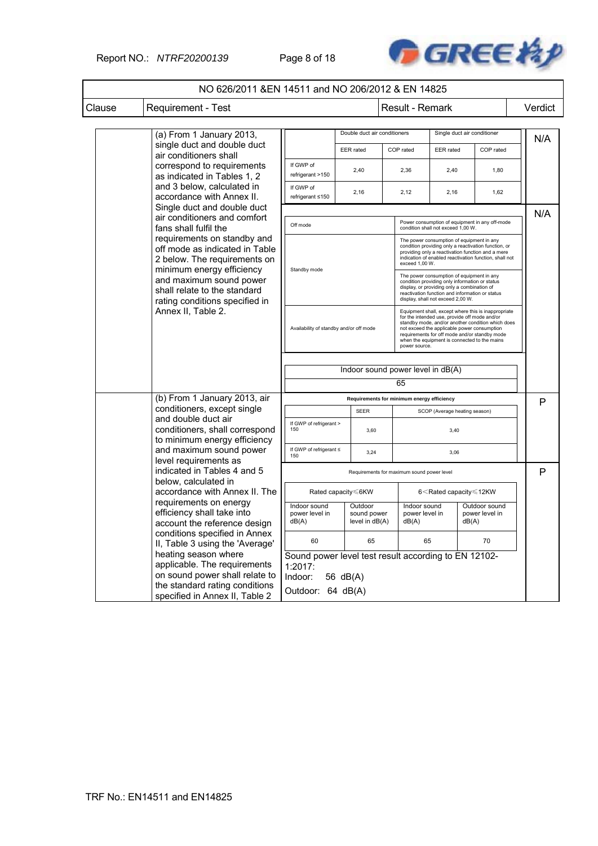Report NO.: *NTRF20200139* Page 8 of 18



| Clause | Requirement - Test                                                                     |                                                                                                                                                                                                                                                  |  |                                          | Result - Remark                            |                                                                                                                                                                                                                                                                                                                            |                                                                                                                                                                                                                  |  | Verdict |
|--------|----------------------------------------------------------------------------------------|--------------------------------------------------------------------------------------------------------------------------------------------------------------------------------------------------------------------------------------------------|--|------------------------------------------|--------------------------------------------|----------------------------------------------------------------------------------------------------------------------------------------------------------------------------------------------------------------------------------------------------------------------------------------------------------------------------|------------------------------------------------------------------------------------------------------------------------------------------------------------------------------------------------------------------|--|---------|
|        |                                                                                        |                                                                                                                                                                                                                                                  |  |                                          |                                            |                                                                                                                                                                                                                                                                                                                            |                                                                                                                                                                                                                  |  |         |
|        | (a) From 1 January 2013,                                                               |                                                                                                                                                                                                                                                  |  | Double duct air conditioners             |                                            | Single duct air conditioner                                                                                                                                                                                                                                                                                                |                                                                                                                                                                                                                  |  | N/A     |
|        | single duct and double duct<br>air conditioners shall                                  |                                                                                                                                                                                                                                                  |  | EER rated                                | COP rated                                  | EER rated                                                                                                                                                                                                                                                                                                                  | COP rated                                                                                                                                                                                                        |  |         |
|        | correspond to requirements<br>as indicated in Tables 1, 2                              | If GWP of<br>refrigerant >150                                                                                                                                                                                                                    |  | 2,40                                     | 2.36                                       | 2.40                                                                                                                                                                                                                                                                                                                       | 1,80                                                                                                                                                                                                             |  |         |
|        | and 3 below, calculated in<br>accordance with Annex II.                                | If GWP of<br>refrigerant ≤150                                                                                                                                                                                                                    |  | 2,16                                     | 2,12                                       | 2,16                                                                                                                                                                                                                                                                                                                       | 1,62                                                                                                                                                                                                             |  |         |
|        | air conditioners and comfort<br>fans shall fulfil the                                  | Single duct and double duct<br>Off mode<br>requirements on standby and<br>off mode as indicated in Table<br>2 below. The requirements on<br>minimum energy efficiency<br>Standby mode<br>and maximum sound power<br>shall relate to the standard |  |                                          |                                            | condition shall not exceed 1,00 W.                                                                                                                                                                                                                                                                                         | Power consumption of equipment in any off-mode                                                                                                                                                                   |  | N/A     |
|        | rating conditions specified in<br>Annex II, Table 2.                                   |                                                                                                                                                                                                                                                  |  |                                          |                                            | exceed 1,00 W.                                                                                                                                                                                                                                                                                                             | The power consumption of equipment in any<br>condition providing only a reactivation function, or<br>providing only a reactivation function and a mere<br>indication of enabled reactivation function, shall not |  |         |
|        |                                                                                        |                                                                                                                                                                                                                                                  |  |                                          |                                            | The power consumption of equipment in any<br>condition providing only information or status<br>display, or providing only a combination of<br>reactivation function and information or status<br>display, shall not exceed 2,00 W.                                                                                         |                                                                                                                                                                                                                  |  |         |
|        |                                                                                        | Availability of standby and/or off mode                                                                                                                                                                                                          |  |                                          |                                            | Equipment shall, except where this is inappropriate<br>for the intended use, provide off mode and/or<br>standby mode, and/or another condition which does<br>not exceed the applicable power consumption<br>requirements for off mode and/or standby mode<br>when the equipment is connected to the mains<br>power source. |                                                                                                                                                                                                                  |  |         |
|        |                                                                                        | Indoor sound power level in dB(A)                                                                                                                                                                                                                |  |                                          |                                            |                                                                                                                                                                                                                                                                                                                            |                                                                                                                                                                                                                  |  |         |
|        |                                                                                        |                                                                                                                                                                                                                                                  |  |                                          | 65                                         |                                                                                                                                                                                                                                                                                                                            |                                                                                                                                                                                                                  |  |         |
|        | (b) From 1 January 2013, air                                                           |                                                                                                                                                                                                                                                  |  |                                          | Requirements for minimum energy efficiency |                                                                                                                                                                                                                                                                                                                            |                                                                                                                                                                                                                  |  | P       |
|        | conditioners, except single                                                            |                                                                                                                                                                                                                                                  |  | <b>SEER</b>                              |                                            |                                                                                                                                                                                                                                                                                                                            | SCOP (Average heating season)                                                                                                                                                                                    |  |         |
|        | and double duct air<br>conditioners, shall correspond<br>to minimum energy efficiency  | If GWP of refrigerant ><br>150                                                                                                                                                                                                                   |  | 3,60                                     |                                            | 3,40                                                                                                                                                                                                                                                                                                                       |                                                                                                                                                                                                                  |  |         |
|        | and maximum sound power<br>level requirements as                                       | If GWP of refrigerant ≤<br>150                                                                                                                                                                                                                   |  | 3,24                                     |                                            | 3,06                                                                                                                                                                                                                                                                                                                       |                                                                                                                                                                                                                  |  |         |
|        | indicated in Tables 4 and 5                                                            |                                                                                                                                                                                                                                                  |  |                                          | Requirements for maximum sound power level |                                                                                                                                                                                                                                                                                                                            |                                                                                                                                                                                                                  |  | P       |
|        | below, calculated in<br>accordance with Annex II. The                                  | Rated capacity ≤6KW                                                                                                                                                                                                                              |  |                                          |                                            |                                                                                                                                                                                                                                                                                                                            | 6 <rated capacity≤12kw<="" td=""><td></td><td></td></rated>                                                                                                                                                      |  |         |
|        | requirements on energy<br>efficiency shall take into<br>account the reference design   | Indoor sound<br>power level in<br>dB(A)                                                                                                                                                                                                          |  | Outdoor<br>sound power<br>level in dB(A) | Indoor sound<br>power level in<br>dB(A)    |                                                                                                                                                                                                                                                                                                                            | Outdoor sound<br>power level in<br>dB(A)                                                                                                                                                                         |  |         |
|        | conditions specified in Annex<br>II, Table 3 using the 'Average'                       | 60                                                                                                                                                                                                                                               |  | 65                                       |                                            | 65                                                                                                                                                                                                                                                                                                                         | 70                                                                                                                                                                                                               |  |         |
|        | heating season where<br>applicable. The requirements<br>on sound power shall relate to | Sound power level test result according to EN 12102-<br>1:2017:<br>Indoor:<br>56 dB(A)                                                                                                                                                           |  |                                          |                                            |                                                                                                                                                                                                                                                                                                                            |                                                                                                                                                                                                                  |  |         |
|        | the standard rating conditions<br>specified in Annex II, Table 2                       | Outdoor: 64 dB(A)                                                                                                                                                                                                                                |  |                                          |                                            |                                                                                                                                                                                                                                                                                                                            |                                                                                                                                                                                                                  |  |         |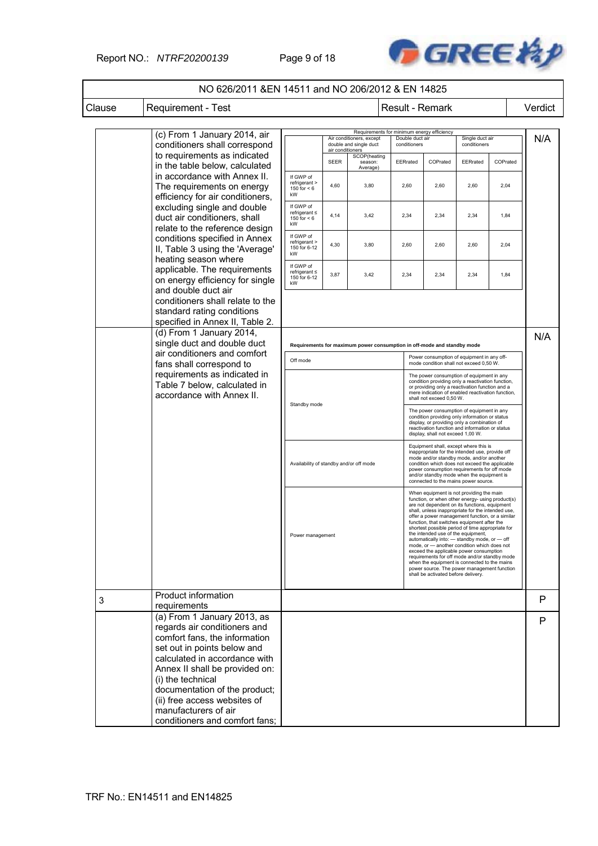### Report NO.: *NTRF20200139* Page 9 of 18



|        | NO 626/2011 & EN 14511 and NO 206/2012 & EN 14825                                                                                                                                              |                                                       |                  |                                                    |                                                                         |                                                                                                                                                                                                                                                                                                                                                                                                                                                                                                                                                                                                                                                                                                                                 |                                 |          |         |
|--------|------------------------------------------------------------------------------------------------------------------------------------------------------------------------------------------------|-------------------------------------------------------|------------------|----------------------------------------------------|-------------------------------------------------------------------------|---------------------------------------------------------------------------------------------------------------------------------------------------------------------------------------------------------------------------------------------------------------------------------------------------------------------------------------------------------------------------------------------------------------------------------------------------------------------------------------------------------------------------------------------------------------------------------------------------------------------------------------------------------------------------------------------------------------------------------|---------------------------------|----------|---------|
| Clause | <b>Requirement - Test</b>                                                                                                                                                                      |                                                       |                  |                                                    | Result - Remark                                                         |                                                                                                                                                                                                                                                                                                                                                                                                                                                                                                                                                                                                                                                                                                                                 |                                 |          | Verdict |
|        | (c) From 1 January 2014, air                                                                                                                                                                   |                                                       |                  |                                                    | Requirements for minimum energy efficiency                              |                                                                                                                                                                                                                                                                                                                                                                                                                                                                                                                                                                                                                                                                                                                                 |                                 |          |         |
|        | conditioners shall correspond                                                                                                                                                                  |                                                       | air conditioners | Air conditioners, except<br>double and single duct | Double duct air<br>conditioners                                         |                                                                                                                                                                                                                                                                                                                                                                                                                                                                                                                                                                                                                                                                                                                                 | Single duct air<br>conditioners |          | N/A     |
|        | to requirements as indicated<br>in the table below, calculated                                                                                                                                 |                                                       | <b>SEER</b>      | SCOP(heating<br>season:<br>Average)                | EERrated                                                                | COPrated                                                                                                                                                                                                                                                                                                                                                                                                                                                                                                                                                                                                                                                                                                                        | EERrated                        | COPrated |         |
|        | in accordance with Annex II.<br>The requirements on energy<br>efficiency for air conditioners,                                                                                                 | If GWP of<br>refrigerant ><br>150 for $< 6$<br>kW     | 4,60             | 3,80                                               | 2,60                                                                    | 2,60                                                                                                                                                                                                                                                                                                                                                                                                                                                                                                                                                                                                                                                                                                                            | 2,60                            | 2,04     |         |
|        | excluding single and double<br>duct air conditioners, shall                                                                                                                                    | If GWP of<br>refrigerant ≤<br>150 for $< 6$<br>kW     | 4,14             | 3,42                                               | 2,34                                                                    | 2,34                                                                                                                                                                                                                                                                                                                                                                                                                                                                                                                                                                                                                                                                                                                            | 2,34                            | 1,84     |         |
|        | relate to the reference design<br>conditions specified in Annex<br>II, Table 3 using the 'Average'                                                                                             | If GWP of<br>refrigerant ><br>150 for 6-12<br>kW      | 4,30             | 3,80                                               | 2,60                                                                    | 2,60                                                                                                                                                                                                                                                                                                                                                                                                                                                                                                                                                                                                                                                                                                                            | 2,60                            | 2,04     |         |
|        | heating season where<br>applicable. The requirements<br>on energy efficiency for single                                                                                                        | If GWP of<br>$refrigerant \leq$<br>150 for 6-12<br>kW | 3,87             | 3,42                                               | 2,34                                                                    | 2,34                                                                                                                                                                                                                                                                                                                                                                                                                                                                                                                                                                                                                                                                                                                            | 2,34                            | 1,84     |         |
|        | and double duct air<br>conditioners shall relate to the<br>standard rating conditions<br>specified in Annex II, Table 2.                                                                       |                                                       |                  |                                                    |                                                                         |                                                                                                                                                                                                                                                                                                                                                                                                                                                                                                                                                                                                                                                                                                                                 |                                 |          |         |
|        | (d) From 1 January 2014,<br>single duct and double duct                                                                                                                                        |                                                       |                  |                                                    | Requirements for maximum power consumption in off-mode and standby mode |                                                                                                                                                                                                                                                                                                                                                                                                                                                                                                                                                                                                                                                                                                                                 |                                 |          | N/A     |
|        | air conditioners and comfort<br>fans shall correspond to                                                                                                                                       | Off mode                                              |                  |                                                    |                                                                         | Power consumption of equipment in any off-<br>mode condition shall not exceed 0,50 W.                                                                                                                                                                                                                                                                                                                                                                                                                                                                                                                                                                                                                                           |                                 |          |         |
|        | requirements as indicated in<br>Table 7 below, calculated in<br>accordance with Annex II.                                                                                                      |                                                       |                  |                                                    |                                                                         | The power consumption of equipment in any<br>condition providing only a reactivation function,<br>or providing only a reactivation function and a<br>mere indication of enabled reactivation function,<br>shall not exceed 0,50 W.                                                                                                                                                                                                                                                                                                                                                                                                                                                                                              |                                 |          |         |
|        |                                                                                                                                                                                                | Standby mode                                          |                  |                                                    |                                                                         | The power consumption of equipment in any<br>condition providing only information or status<br>display, or providing only a combination of<br>reactivation function and information or status<br>display, shall not exceed 1,00 W.                                                                                                                                                                                                                                                                                                                                                                                                                                                                                              |                                 |          |         |
|        |                                                                                                                                                                                                | Availability of standby and/or off mode               |                  |                                                    |                                                                         | Equipment shall, except where this is<br>inappropriate for the intended use, provide off<br>mode and/or standby mode, and/or another<br>condition which does not exceed the applicable<br>power consumption requirements for off mode<br>and/or standby mode when the equipment is<br>connected to the mains power source.                                                                                                                                                                                                                                                                                                                                                                                                      |                                 |          |         |
|        |                                                                                                                                                                                                | Power management                                      |                  |                                                    |                                                                         | When equipment is not providing the main<br>function, or when other energy- using product(s)<br>are not dependent on its functions, equipment<br>shall, unless inappropriate for the intended use,<br>offer a power management function, or a similar<br>function, that switches equipment after the<br>shortest possible period of time appropriate for<br>the intended use of the equipment,<br>automatically into: - standby mode, or - off<br>mode, or - another condition which does not<br>exceed the applicable power consumption<br>requirements for off mode and/or standby mode<br>when the equipment is connected to the mains<br>power source. The power management function<br>shall be activated before delivery. |                                 |          |         |
| 3      | Product information<br>requirements                                                                                                                                                            |                                                       |                  |                                                    |                                                                         |                                                                                                                                                                                                                                                                                                                                                                                                                                                                                                                                                                                                                                                                                                                                 |                                 |          | P       |
|        | (a) From 1 January 2013, as<br>regards air conditioners and<br>comfort fans, the information<br>set out in points below and<br>calculated in accordance with<br>Annex II shall be provided on: |                                                       |                  |                                                    |                                                                         |                                                                                                                                                                                                                                                                                                                                                                                                                                                                                                                                                                                                                                                                                                                                 |                                 |          | P       |
|        | (i) the technical<br>documentation of the product;<br>(ii) free access websites of<br>manufacturers of air<br>conditioners and comfort fans;                                                   |                                                       |                  |                                                    |                                                                         |                                                                                                                                                                                                                                                                                                                                                                                                                                                                                                                                                                                                                                                                                                                                 |                                 |          |         |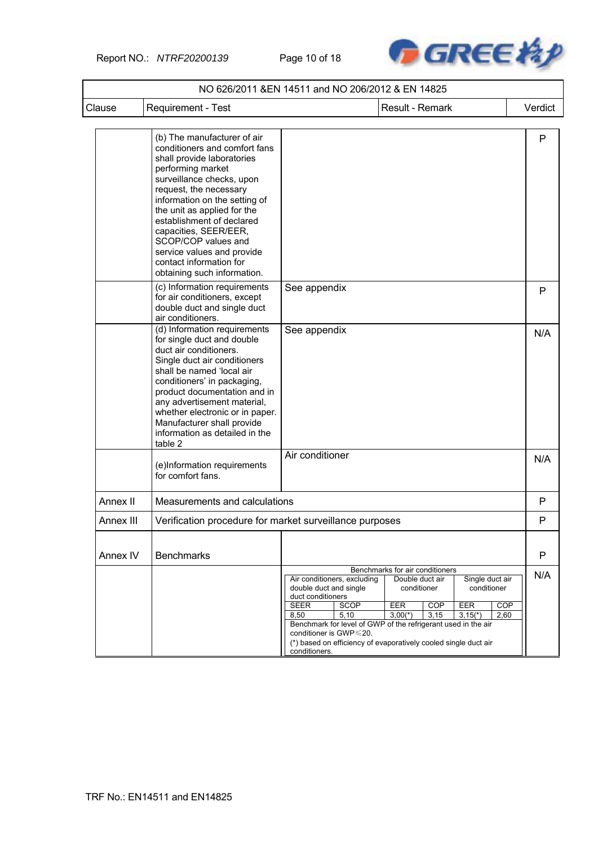Report NO.: *NTRF20200139* Page 10 of 18



| Clause    | Requirement - Test                                                                                                                                                                                                                                                                                                                                                                                          |                                                                                                                                                                     | Result - Remark                                                                                                                                                                                                                                                                                       | Verdict                   |
|-----------|-------------------------------------------------------------------------------------------------------------------------------------------------------------------------------------------------------------------------------------------------------------------------------------------------------------------------------------------------------------------------------------------------------------|---------------------------------------------------------------------------------------------------------------------------------------------------------------------|-------------------------------------------------------------------------------------------------------------------------------------------------------------------------------------------------------------------------------------------------------------------------------------------------------|---------------------------|
|           | (b) The manufacturer of air<br>conditioners and comfort fans<br>shall provide laboratories<br>performing market<br>surveillance checks, upon<br>request, the necessary<br>information on the setting of<br>the unit as applied for the<br>establishment of declared<br>capacities, SEER/EER,<br>SCOP/COP values and<br>service values and provide<br>contact information for<br>obtaining such information. |                                                                                                                                                                     |                                                                                                                                                                                                                                                                                                       | P                         |
|           | (c) Information requirements<br>for air conditioners, except<br>double duct and single duct<br>air conditioners.                                                                                                                                                                                                                                                                                            | See appendix                                                                                                                                                        |                                                                                                                                                                                                                                                                                                       | P                         |
|           | (d) Information requirements<br>for single duct and double<br>duct air conditioners.<br>Single duct air conditioners<br>shall be named 'local air<br>conditioners' in packaging,<br>product documentation and in<br>any advertisement material,<br>whether electronic or in paper.<br>Manufacturer shall provide<br>information as detailed in the<br>table 2                                               | See appendix                                                                                                                                                        |                                                                                                                                                                                                                                                                                                       | N/A                       |
|           | (e)Information requirements<br>for comfort fans.                                                                                                                                                                                                                                                                                                                                                            | Air conditioner                                                                                                                                                     |                                                                                                                                                                                                                                                                                                       | N/A                       |
| Annex II  | Measurements and calculations                                                                                                                                                                                                                                                                                                                                                                               |                                                                                                                                                                     |                                                                                                                                                                                                                                                                                                       | P                         |
| Annex III | Verification procedure for market surveillance purposes                                                                                                                                                                                                                                                                                                                                                     |                                                                                                                                                                     |                                                                                                                                                                                                                                                                                                       | P                         |
| Annex IV  | <b>Benchmarks</b>                                                                                                                                                                                                                                                                                                                                                                                           |                                                                                                                                                                     |                                                                                                                                                                                                                                                                                                       | P                         |
|           |                                                                                                                                                                                                                                                                                                                                                                                                             | Air conditioners, excluding<br>double duct and single<br>duct conditioners<br><b>SEER</b><br>SCOP<br>8,50<br>5,10<br>conditioner is GWP $\leq$ 20.<br>conditioners. | Benchmarks for air conditioners<br>Double duct air<br>Single duct air<br>conditioner<br>conditioner<br>EER<br>EER<br><b>COP</b><br>$3,00(*)$<br>3,15<br>$3,15(*)$<br>Benchmark for level of GWP of the refrigerant used in the air<br>(*) based on efficiency of evaporatively cooled single duct air | N/A<br><b>COP</b><br>2,60 |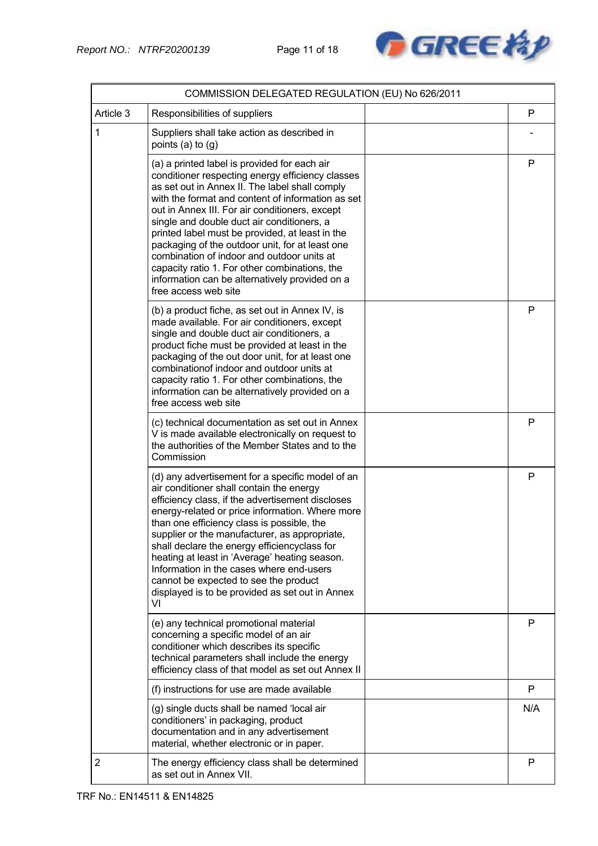

|                | COMMISSION DELEGATED REGULATION (EU) No 626/2011                                                                                                                                                                                                                                                                                                                                                                                                                                                                                                                                       |     |
|----------------|----------------------------------------------------------------------------------------------------------------------------------------------------------------------------------------------------------------------------------------------------------------------------------------------------------------------------------------------------------------------------------------------------------------------------------------------------------------------------------------------------------------------------------------------------------------------------------------|-----|
| Article 3      | Responsibilities of suppliers                                                                                                                                                                                                                                                                                                                                                                                                                                                                                                                                                          | P   |
| 1              | Suppliers shall take action as described in<br>points $(a)$ to $(g)$                                                                                                                                                                                                                                                                                                                                                                                                                                                                                                                   |     |
|                | (a) a printed label is provided for each air<br>conditioner respecting energy efficiency classes<br>as set out in Annex II. The label shall comply<br>with the format and content of information as set<br>out in Annex III. For air conditioners, except<br>single and double duct air conditioners, a<br>printed label must be provided, at least in the<br>packaging of the outdoor unit, for at least one<br>combination of indoor and outdoor units at<br>capacity ratio 1. For other combinations, the<br>information can be alternatively provided on a<br>free access web site | P   |
|                | (b) a product fiche, as set out in Annex IV, is<br>made available. For air conditioners, except<br>single and double duct air conditioners, a<br>product fiche must be provided at least in the<br>packaging of the out door unit, for at least one<br>combination of indoor and outdoor units at<br>capacity ratio 1. For other combinations, the<br>information can be alternatively provided on a<br>free access web site                                                                                                                                                           | P   |
|                | (c) technical documentation as set out in Annex<br>V is made available electronically on request to<br>the authorities of the Member States and to the<br>Commission                                                                                                                                                                                                                                                                                                                                                                                                                   | P   |
|                | (d) any advertisement for a specific model of an<br>air conditioner shall contain the energy<br>efficiency class, if the advertisement discloses<br>energy-related or price information. Where more<br>than one efficiency class is possible, the<br>supplier or the manufacturer, as appropriate,<br>shall declare the energy efficiencyclass for<br>heating at least in 'Average' heating season.<br>Information in the cases where end-users<br>cannot be expected to see the product<br>displayed is to be provided as set out in Annex<br>VI                                      | P   |
|                | (e) any technical promotional material<br>concerning a specific model of an air<br>conditioner which describes its specific<br>technical parameters shall include the energy<br>efficiency class of that model as set out Annex II                                                                                                                                                                                                                                                                                                                                                     | P   |
|                | (f) instructions for use are made available                                                                                                                                                                                                                                                                                                                                                                                                                                                                                                                                            | P   |
|                | (g) single ducts shall be named 'local air<br>conditioners' in packaging, product<br>documentation and in any advertisement<br>material, whether electronic or in paper.                                                                                                                                                                                                                                                                                                                                                                                                               | N/A |
| $\overline{2}$ | The energy efficiency class shall be determined<br>as set out in Annex VII.                                                                                                                                                                                                                                                                                                                                                                                                                                                                                                            | P   |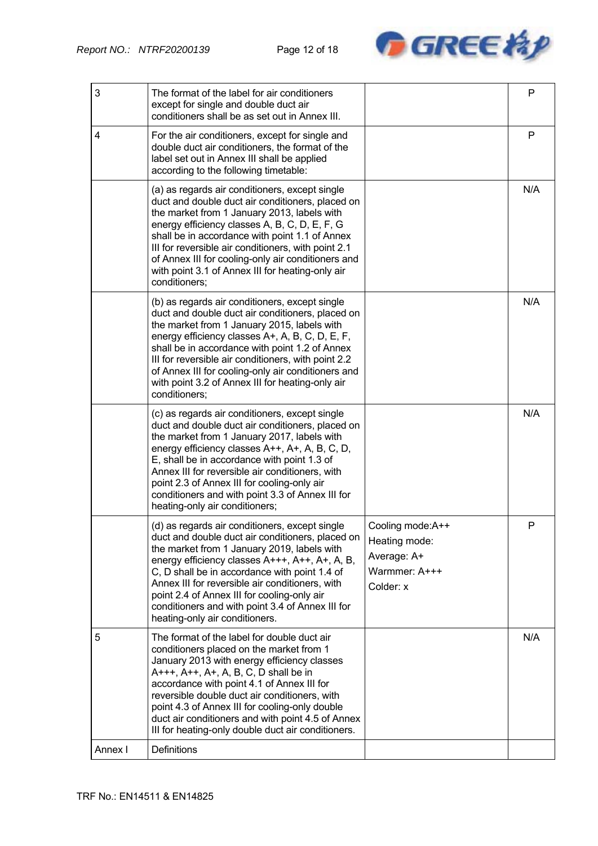

| 3       | The format of the label for air conditioners<br>except for single and double duct air<br>conditioners shall be as set out in Annex III.                                                                                                                                                                                                                                                                                                      |                                                                                 | P   |
|---------|----------------------------------------------------------------------------------------------------------------------------------------------------------------------------------------------------------------------------------------------------------------------------------------------------------------------------------------------------------------------------------------------------------------------------------------------|---------------------------------------------------------------------------------|-----|
| 4       | For the air conditioners, except for single and<br>double duct air conditioners, the format of the<br>label set out in Annex III shall be applied<br>according to the following timetable:                                                                                                                                                                                                                                                   |                                                                                 | P   |
|         | (a) as regards air conditioners, except single<br>duct and double duct air conditioners, placed on<br>the market from 1 January 2013, labels with<br>energy efficiency classes A, B, C, D, E, F, G<br>shall be in accordance with point 1.1 of Annex<br>III for reversible air conditioners, with point 2.1<br>of Annex III for cooling-only air conditioners and<br>with point 3.1 of Annex III for heating-only air<br>conditioners;       |                                                                                 | N/A |
|         | (b) as regards air conditioners, except single<br>duct and double duct air conditioners, placed on<br>the market from 1 January 2015, labels with<br>energy efficiency classes A+, A, B, C, D, E, F,<br>shall be in accordance with point 1.2 of Annex<br>III for reversible air conditioners, with point 2.2<br>of Annex III for cooling-only air conditioners and<br>with point 3.2 of Annex III for heating-only air<br>conditioners:     |                                                                                 | N/A |
|         | (c) as regards air conditioners, except single<br>duct and double duct air conditioners, placed on<br>the market from 1 January 2017, labels with<br>energy efficiency classes A++, A+, A, B, C, D,<br>E, shall be in accordance with point 1.3 of<br>Annex III for reversible air conditioners, with<br>point 2.3 of Annex III for cooling-only air<br>conditioners and with point 3.3 of Annex III for<br>heating-only air conditioners;   |                                                                                 | N/A |
|         | (d) as regards air conditioners, except single<br>duct and double duct air conditioners, placed on<br>the market from 1 January 2019, labels with<br>energy efficiency classes A+++, A++, A+, A, B,<br>C, D shall be in accordance with point 1.4 of<br>Annex III for reversible air conditioners, with<br>point 2.4 of Annex III for cooling-only air<br>conditioners and with point 3.4 of Annex III for<br>heating-only air conditioners. | Cooling mode: A++<br>Heating mode:<br>Average: A+<br>Warmmer: A+++<br>Colder: x | Ρ   |
| 5       | The format of the label for double duct air<br>conditioners placed on the market from 1<br>January 2013 with energy efficiency classes<br>A+++, A++, A+, A, B, C, D shall be in<br>accordance with point 4.1 of Annex III for<br>reversible double duct air conditioners, with<br>point 4.3 of Annex III for cooling-only double<br>duct air conditioners and with point 4.5 of Annex<br>III for heating-only double duct air conditioners.  |                                                                                 | N/A |
| Annex I | Definitions                                                                                                                                                                                                                                                                                                                                                                                                                                  |                                                                                 |     |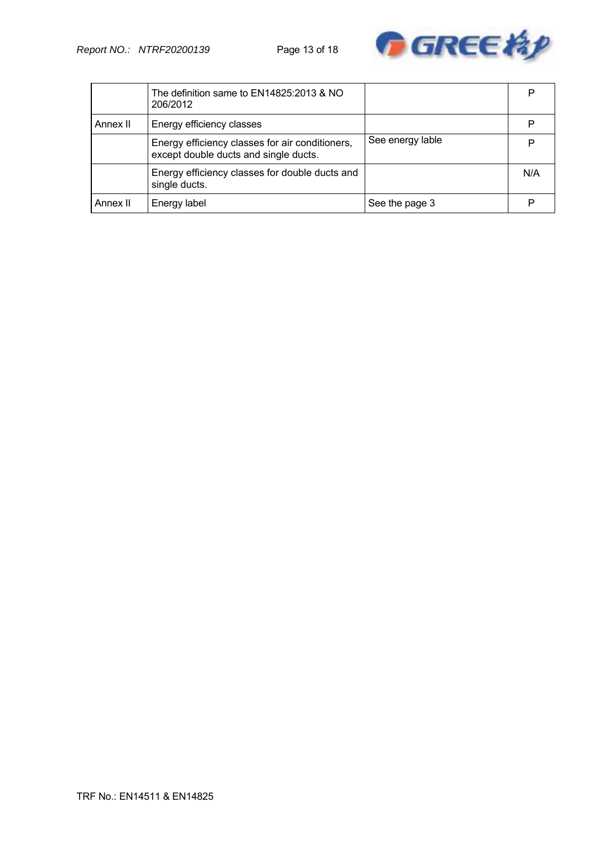

|          | The definition same to EN14825:2013 & NO<br>206/2012                                     |                  | D   |
|----------|------------------------------------------------------------------------------------------|------------------|-----|
| Annex II | Energy efficiency classes                                                                |                  |     |
|          | Energy efficiency classes for air conditioners,<br>except double ducts and single ducts. | See energy lable |     |
|          | Energy efficiency classes for double ducts and<br>single ducts.                          |                  | N/A |
| Annex II | Energy label                                                                             | See the page 3   |     |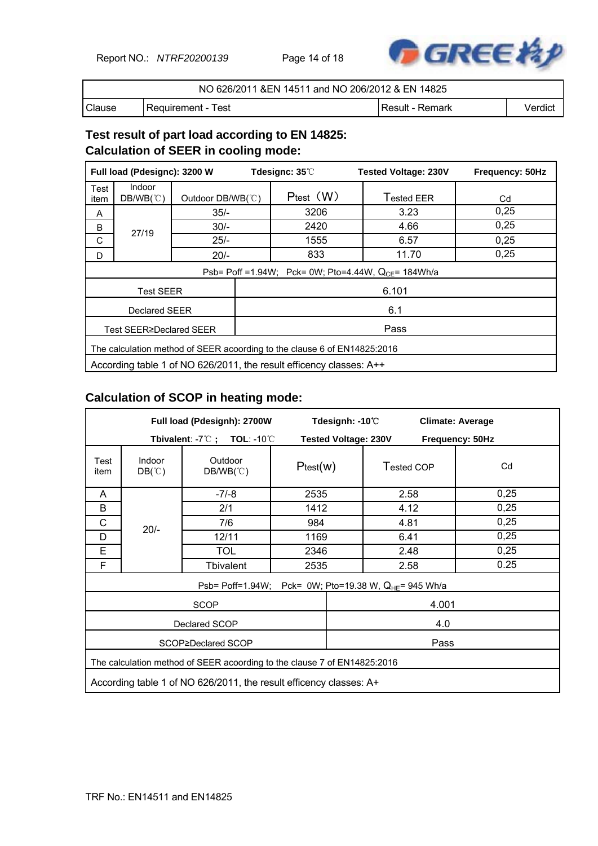Report NO.: *NTRF20200139* Page 14 of 18



| NO 626/2011 & EN 14511 and NO 206/2012 & EN 14825 |                      |                 |         |  |  |  |
|---------------------------------------------------|----------------------|-----------------|---------|--|--|--|
| Clause                                            | l Reauirement - Test | Result - Remark | Verdict |  |  |  |

## **Test result of part load according to EN 14825: Calculation of SEER in cooling mode:**

| Full load (Pdesignc): 3200 W |                                                                          |                   | Tdesignc: 35°C |                                                           | <b>Tested Voltage: 230V</b> | Frequency: 50Hz |  |  |
|------------------------------|--------------------------------------------------------------------------|-------------------|----------------|-----------------------------------------------------------|-----------------------------|-----------------|--|--|
| Test<br>item                 | <b>Indoor</b><br>$DB/WB(^\circ \mathbb{C})$                              | Outdoor DB/WB(°C) |                | $P_{test}$ $(W)$                                          | Tested EER                  | Cd              |  |  |
| A                            |                                                                          | $35/-$            |                | 3206                                                      | 3.23                        | 0,25            |  |  |
| B                            | 27/19                                                                    | $30/-$            |                | 2420                                                      | 4.66                        | 0,25            |  |  |
| C                            |                                                                          | $25/-$            |                | 1555                                                      | 6.57                        | 0,25            |  |  |
| D                            |                                                                          | $20/-$            |                | 833                                                       | 11.70                       | 0,25            |  |  |
|                              |                                                                          |                   |                | Psb= Poff = 1.94W; Pck= 0W; Pto=4.44W, $Q_{CF}$ = 184Wh/a |                             |                 |  |  |
|                              | <b>Test SEER</b>                                                         |                   | 6.101          |                                                           |                             |                 |  |  |
|                              | Declared SEER                                                            |                   |                |                                                           | 6.1                         |                 |  |  |
|                              | Pass<br>Test SEER≥Declared SEER                                          |                   |                |                                                           |                             |                 |  |  |
|                              | The calculation method of SEER acoording to the clause 6 of EN14825:2016 |                   |                |                                                           |                             |                 |  |  |
|                              | According table 1 of NO 626/2011, the result efficency classes: A++      |                   |                |                                                           |                             |                 |  |  |

## **Calculation of SCOP in heating mode:**

| Full load (Pdesignh): 2700W |                                                                    |                                                                          |               | Tdesignh: -10°C             |            |       | <b>Climate: Average</b> |  |
|-----------------------------|--------------------------------------------------------------------|--------------------------------------------------------------------------|---------------|-----------------------------|------------|-------|-------------------------|--|
|                             | Tbivalent: $-7^{\circ}$ C; TOL: $-10^{\circ}$ C                    |                                                                          |               | <b>Tested Voltage: 230V</b> |            |       | Frequency: 50Hz         |  |
| Test<br>item                | Indoor<br>$DB(^\circ\mathbb{C})$                                   | Outdoor<br>$DB/WB(^{\circ}\mathrm{C})$                                   | $P_{test}(w)$ |                             | Tested COP |       | Cd                      |  |
| A                           |                                                                    | $-7/-8$                                                                  | 2535          |                             | 2.58       |       | 0,25                    |  |
| B                           |                                                                    | 2/1                                                                      | 1412          |                             | 4.12       |       | 0,25                    |  |
| C                           |                                                                    | 7/6                                                                      | 984           |                             | 4.81       |       | 0,25                    |  |
| D                           | $20/-$                                                             | 12/11                                                                    | 1169          |                             | 6.41       |       | 0,25                    |  |
| E                           |                                                                    | <b>TOL</b>                                                               | 2346          |                             | 2.48       |       | 0,25                    |  |
| F                           |                                                                    | Tbivalent                                                                | 2535          |                             | 2.58       |       | 0.25                    |  |
|                             |                                                                    | Psb= Poff=1.94W; Pck= 0W; Pto=19.38 W, Q <sub>HE</sub> = 945 Wh/a        |               |                             |            |       |                         |  |
|                             |                                                                    | <b>SCOP</b>                                                              |               |                             |            | 4.001 |                         |  |
|                             |                                                                    | Declared SCOP                                                            |               |                             |            | 4.0   |                         |  |
| Pass<br>SCOP≥Declared SCOP  |                                                                    |                                                                          |               |                             |            |       |                         |  |
|                             |                                                                    | The calculation method of SEER acoording to the clause 7 of EN14825:2016 |               |                             |            |       |                         |  |
|                             | According table 1 of NO 626/2011, the result efficency classes: A+ |                                                                          |               |                             |            |       |                         |  |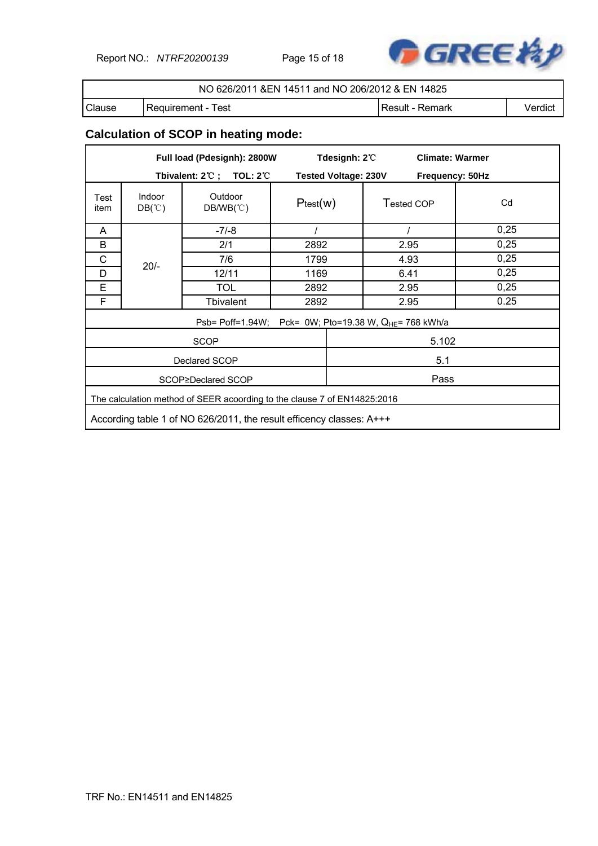Report NO.: *NTRF20200139* Page 15 of 18



| NO 626/2011 & EN 14511 and NO 206/2012 & EN 14825 |                      |                   |         |  |  |
|---------------------------------------------------|----------------------|-------------------|---------|--|--|
| Clause                                            | l Reauirement - Test | l Result - Remark | Verdict |  |  |

# **Calculation of SCOP in heating mode:**

| Full load (Pdesignh): 2800W |                                                                                                                                                  |                                                                    |          | Tdesignh: 2°C               |      | <b>Climate: Warmer</b> |      |  |  |
|-----------------------------|--------------------------------------------------------------------------------------------------------------------------------------------------|--------------------------------------------------------------------|----------|-----------------------------|------|------------------------|------|--|--|
|                             | Tbivalent: $2^{\circ}\text{C}$ ; TOL: $2^{\circ}\text{C}$                                                                                        |                                                                    |          | <b>Tested Voltage: 230V</b> |      | Frequency: 50Hz        |      |  |  |
| Test<br>item                | Indoor<br>$DB(^\circ\mathbb{C})$                                                                                                                 | Outdoor<br>$DB/WB(^{\circ}\mathrm{C})$                             | Ptest(w) |                             |      | Tested COP             | Cd   |  |  |
| A                           |                                                                                                                                                  | $-7/-8$                                                            | $\prime$ |                             |      |                        | 0,25 |  |  |
| B                           |                                                                                                                                                  | 2/1                                                                | 2892     |                             | 2.95 |                        | 0,25 |  |  |
| C                           |                                                                                                                                                  | 7/6                                                                |          | 1799                        |      | 4.93                   | 0,25 |  |  |
| D                           | $20/-$                                                                                                                                           | 12/11                                                              | 1169     |                             | 6.41 |                        | 0,25 |  |  |
| E                           |                                                                                                                                                  | <b>TOL</b>                                                         | 2892     |                             | 2.95 |                        | 0,25 |  |  |
| F                           |                                                                                                                                                  | <b>Tbivalent</b>                                                   | 2892     |                             | 2.95 |                        | 0.25 |  |  |
|                             |                                                                                                                                                  | Psb= Poff=1.94W; Pck= 0W; Pto=19.38 W, Q <sub>HE</sub> = 768 kWh/a |          |                             |      |                        |      |  |  |
|                             |                                                                                                                                                  | <b>SCOP</b>                                                        |          |                             |      | 5.102                  |      |  |  |
|                             |                                                                                                                                                  | Declared SCOP                                                      |          |                             |      | 5.1                    |      |  |  |
|                             |                                                                                                                                                  | SCOP≥Declared SCOP                                                 |          | Pass                        |      |                        |      |  |  |
|                             |                                                                                                                                                  |                                                                    |          |                             |      |                        |      |  |  |
|                             | The calculation method of SEER acoording to the clause 7 of EN14825:2016<br>According table 1 of NO 626/2011, the result efficency classes: A+++ |                                                                    |          |                             |      |                        |      |  |  |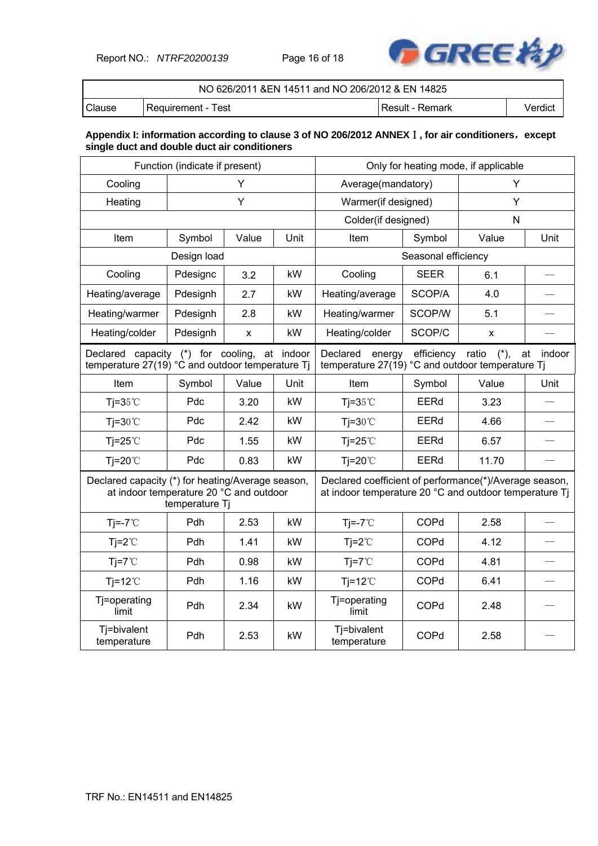Report NO.: *NTRF20200139* Page 16 of 18



|               | NO 626/2011 & EN 14511 and NO 206/2012 & EN 14825 |                 |         |  |  |  |
|---------------|---------------------------------------------------|-----------------|---------|--|--|--|
| <b>Clause</b> | l Requirement - Test                              | Result - Remark | Verdict |  |  |  |

#### **Appendix I: information according to clause 3 of NO 206/2012 ANNEX**Ⅰ**, for air conditioners**,**except single duct and double duct air conditioners**

| Function (indicate if present)                                                               |                |       |           | Only for heating mode, if applicable                                                                             |                     |                 |              |
|----------------------------------------------------------------------------------------------|----------------|-------|-----------|------------------------------------------------------------------------------------------------------------------|---------------------|-----------------|--------------|
| Cooling                                                                                      | Υ              |       |           | Average(mandatory)                                                                                               |                     | Υ               |              |
| Heating                                                                                      |                | Y     |           | Warmer(if designed)                                                                                              |                     | Y               |              |
|                                                                                              |                |       |           | Colder(if designed)                                                                                              |                     | N               |              |
| Item                                                                                         | Symbol         | Value | Unit      | Item                                                                                                             | Symbol              | Value           | Unit         |
|                                                                                              | Design load    |       |           |                                                                                                                  | Seasonal efficiency |                 |              |
| Cooling                                                                                      | Pdesignc       | 3.2   | kW        | Cooling                                                                                                          | <b>SEER</b>         | 6.1             |              |
| Heating/average                                                                              | Pdesignh       | 2.7   | kW        | Heating/average                                                                                                  | SCOP/A              | 4.0             |              |
| Heating/warmer                                                                               | Pdesignh       | 2.8   | kW        | Heating/warmer                                                                                                   | SCOP/W              | 5.1             |              |
| Heating/colder                                                                               | Pdesignh       | X     | kW        | Heating/colder                                                                                                   | SCOP/C              | x               |              |
| Declared capacity (*) for cooling,<br>temperature 27(19) °C and outdoor temperature Tj       |                |       | at indoor | Declared<br>energy<br>temperature 27(19) °C and outdoor temperature Tj                                           | efficiency          | ratio<br>$(*),$ | indoor<br>at |
| Item                                                                                         | Symbol         | Value | Unit      | Item                                                                                                             | Symbol              | Value           | Unit         |
| Tj= $35^{\circ}$ C                                                                           | Pdc            | 3.20  | kW        | Tj= $35^{\circ}$ C                                                                                               | <b>EERd</b>         | 3.23            |              |
| $Ti=30^{\circ}C$                                                                             | Pdc            | 2.42  | kW        | $Ti=30^{\circ}C$                                                                                                 | EERd                | 4.66            |              |
| Tj=25 $°C$                                                                                   | Pdc            | 1.55  | kW        | Tj=25 $°C$                                                                                                       | EERd                | 6.57            |              |
| Tj=20 $°C$                                                                                   | Pdc            | 0.83  | kW        | Tj=20 $°C$                                                                                                       | EERd                | 11.70           |              |
| Declared capacity (*) for heating/Average season,<br>at indoor temperature 20 °C and outdoor | temperature Tj |       |           | Declared coefficient of performance(*)/Average season,<br>at indoor temperature 20 °C and outdoor temperature Tj |                     |                 |              |
| $Ti=-7^{\circ}C$                                                                             | Pdh            | 2.53  | kW        | $Ti=-7^{\circ}C$                                                                                                 | COPd                | 2.58            |              |
| $Tj = 2^{\circ}C$                                                                            | Pdh            | 1.41  | kW        | $Tj = 2^{\circ}C$                                                                                                | COPd                | 4.12            |              |
| $Ti=7^{\circ}C$                                                                              | Pdh            | 0.98  | kW        | $Ti=7^{\circ}C$                                                                                                  | COPd                | 4.81            |              |
| $Ti=12^{\circ}C$                                                                             | Pdh            | 1.16  | kW        | Tj=12 $°C$                                                                                                       | COPd                | 6.41            |              |
| Tj=operating<br>limit                                                                        | Pdh            | 2.34  | kW        | Tj=operating<br>limit                                                                                            | COPd                | 2.48            |              |
| Tj=bivalent<br>temperature                                                                   | Pdh            | 2.53  | kW        | Tj=bivalent<br>temperature                                                                                       | COPd                | 2.58            |              |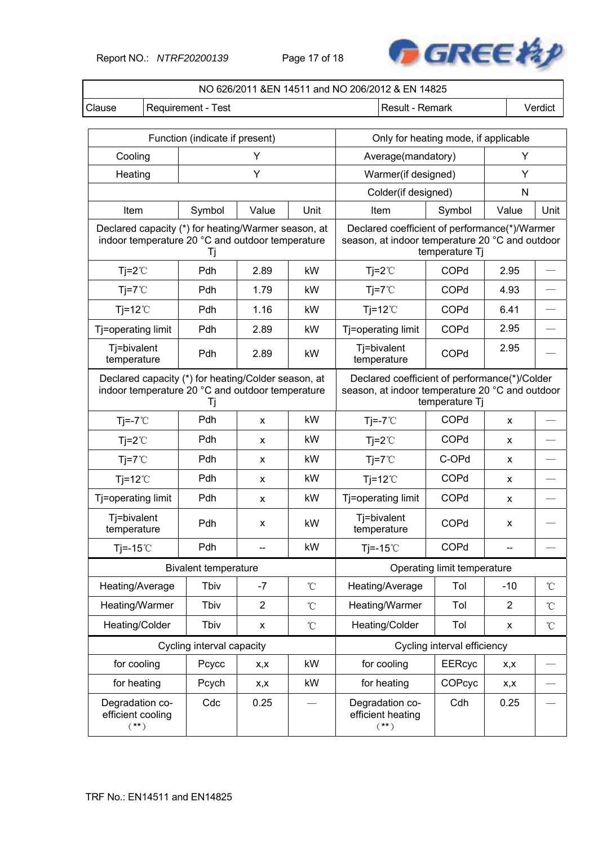Report NO.: *NTRF20200139* Page 17 of 18



| NO 626/2011 &EN 14511 and NO 206/2012 & EN 14825 |                                                  |                                                                                                               |                |                   |                                                                                                                    |                             |       |                 |
|--------------------------------------------------|--------------------------------------------------|---------------------------------------------------------------------------------------------------------------|----------------|-------------------|--------------------------------------------------------------------------------------------------------------------|-----------------------------|-------|-----------------|
| Clause                                           | Verdict<br>Requirement - Test<br>Result - Remark |                                                                                                               |                |                   |                                                                                                                    |                             |       |                 |
|                                                  |                                                  |                                                                                                               |                |                   |                                                                                                                    |                             |       |                 |
|                                                  |                                                  | Function (indicate if present)                                                                                |                |                   | Only for heating mode, if applicable                                                                               |                             |       |                 |
| Cooling                                          |                                                  |                                                                                                               | Y              |                   | Average(mandatory)                                                                                                 |                             | Υ     |                 |
| Heating                                          |                                                  |                                                                                                               | Y              |                   | Warmer(if designed)                                                                                                |                             | Υ     |                 |
|                                                  |                                                  |                                                                                                               |                |                   | Colder(if designed)                                                                                                |                             | N     |                 |
| Item                                             |                                                  | Symbol                                                                                                        | Value          | Unit              | Item                                                                                                               | Symbol                      | Value | Unit            |
|                                                  |                                                  | Declared capacity (*) for heating/Warmer season, at<br>indoor temperature 20 °C and outdoor temperature<br>Τj |                |                   | Declared coefficient of performance(*)/Warmer<br>season, at indoor temperature 20 °C and outdoor                   | temperature Tj              |       |                 |
| $Tj = 2^{\circ}C$                                |                                                  | Pdh                                                                                                           | 2.89           | kW                | $Tj = 2^{\circ}C$                                                                                                  | COPd                        | 2.95  |                 |
| $Tj=7^{\circ}C$                                  |                                                  | Pdh                                                                                                           | 1.79           | kW                | $Tj = 7^{\circ}C$                                                                                                  | COPd                        | 4.93  |                 |
| Tj=12 $^{\circ}$ C                               |                                                  | Pdh                                                                                                           | 1.16           | kW                | $Tj=12^{\circ}C$                                                                                                   | COPd                        | 6.41  |                 |
| Tj=operating limit                               |                                                  | Pdh                                                                                                           | 2.89           | kW                | Tj=operating limit                                                                                                 | COPd                        | 2.95  |                 |
| Tj=bivalent<br>temperature                       |                                                  | Pdh                                                                                                           | 2.89           | kW                | Tj=bivalent<br>temperature                                                                                         | COPd                        | 2.95  |                 |
|                                                  |                                                  | Declared capacity (*) for heating/Colder season, at<br>indoor temperature 20 °C and outdoor temperature<br>Tj |                |                   | Declared coefficient of performance(*)/Colder<br>season, at indoor temperature 20 °C and outdoor<br>temperature Tj |                             |       |                 |
| $Ti=-7^{\circ}C$                                 |                                                  | Pdh                                                                                                           | X              | kW                | $Ti=-7^{\circ}C$                                                                                                   | COPd                        | X     |                 |
| $Tj=2^{\circ}C$                                  |                                                  | Pdh                                                                                                           | X              | kW                | $Tj=2^{\circ}C$                                                                                                    | COPd                        | X     |                 |
| $Tj = 7^{\circ}C$                                |                                                  | Pdh                                                                                                           | x              | kW                | $Tj = 7^{\circ}C$                                                                                                  | C-OPd                       | x     |                 |
| $Ti=12^{\circ}$                                  |                                                  | Pdh                                                                                                           | X              | kW                | $Ti=12^{\circ}C$                                                                                                   | COPd                        | X     |                 |
| Tj=operating limit                               |                                                  | Pdh                                                                                                           | x              | kW                | Tj=operating limit                                                                                                 | COPd                        | x     |                 |
| Tj=bivalent<br>temperature                       |                                                  | Pdh                                                                                                           | X              | kW                | Tj=bivalent<br>temperature                                                                                         | COPd                        | x     |                 |
| Tj = $-15^{\circ}$ C                             |                                                  | Pdh                                                                                                           |                | kW                | Tj=-15 $°C$                                                                                                        | COPd                        |       |                 |
|                                                  |                                                  | <b>Bivalent temperature</b>                                                                                   |                |                   |                                                                                                                    | Operating limit temperature |       |                 |
| Heating/Average                                  |                                                  | Tbiv                                                                                                          | $-7$           | $^\circ\!{\rm C}$ | Heating/Average                                                                                                    | Tol                         | $-10$ | $\rm ^{\circ}C$ |
| Heating/Warmer                                   |                                                  | Tbiv                                                                                                          | $\overline{2}$ | $\rm ^{\circ}C$   | Heating/Warmer                                                                                                     | Tol                         | 2     | $\rm ^{\circ}C$ |
| Heating/Colder                                   |                                                  | Tbiv                                                                                                          | X              | $\rm ^{\circ}C$   | Heating/Colder                                                                                                     | Tol                         | X     | $^{\circ}$ C    |
|                                                  |                                                  | Cycling interval capacity                                                                                     |                |                   |                                                                                                                    | Cycling interval efficiency |       |                 |
| for cooling                                      |                                                  | Pcycc                                                                                                         | x,x            | kW                | for cooling                                                                                                        | <b>EERcyc</b>               | x,x   |                 |
| for heating                                      |                                                  | Pcych                                                                                                         | x,x            | kW                | for heating                                                                                                        | COPcyc                      | X,X   |                 |
| Degradation co-<br>efficient cooling<br>$(**)$   |                                                  | Cdc                                                                                                           | 0.25           |                   | Degradation co-<br>efficient heating<br>$(**)$                                                                     | Cdh                         | 0.25  |                 |